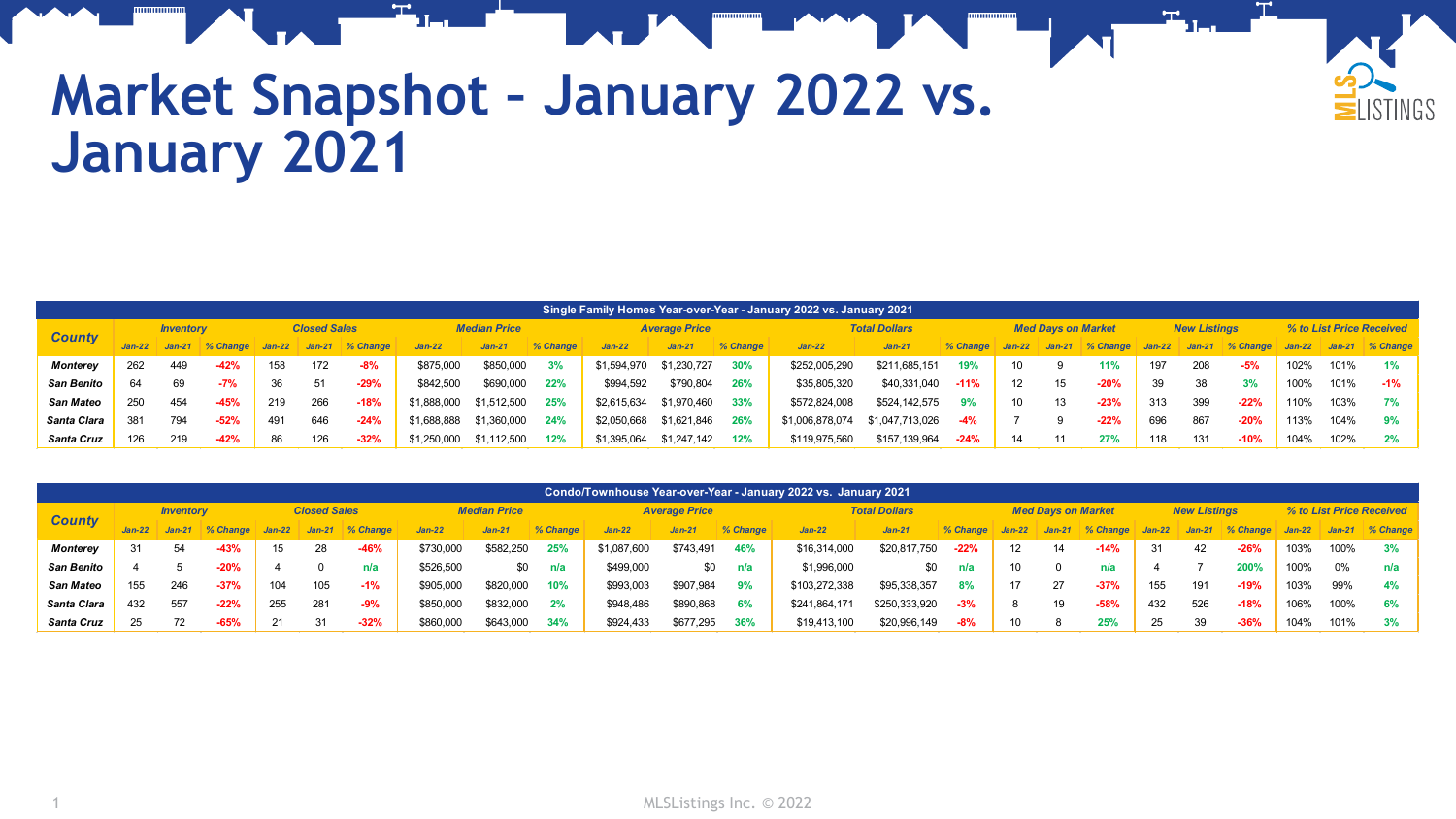

## **Market Snapshot – January 2022 vs. January 2021**

|                   | Single Family Homes Year-over-Year - January 2022 vs. January 2021 |                  |          |                     |          |             |                     |             |          |             |                      |          |                 |                      |          |                   |          |                           |          |                     |          |                          |      |                 |  |
|-------------------|--------------------------------------------------------------------|------------------|----------|---------------------|----------|-------------|---------------------|-------------|----------|-------------|----------------------|----------|-----------------|----------------------|----------|-------------------|----------|---------------------------|----------|---------------------|----------|--------------------------|------|-----------------|--|
| <b>County</b>     |                                                                    | <b>Inventory</b> |          | <b>Closed Sales</b> |          |             | <b>Median Price</b> |             |          |             | <b>Average Price</b> |          |                 | <b>Total Dollars</b> |          |                   |          | <b>Med Days on Market</b> |          | <b>New Listings</b> |          | % to List Price Received |      |                 |  |
|                   |                                                                    | $Jan-21$         | % Change | $Jan-22$            | $Jan-21$ | $\%$ Change | $Jan-22$            | $Jan-21$    | % Change | $Jan-22$    | $Jan-21$             | % Change | $Jan-22$        | $Jan-27$             | % Change | $Jan-22$          | $Jan-21$ | % Change                  | $Jan-22$ | $Jan-21$            | % Change | $Jan-22$                 |      | Jan-21 % Change |  |
| <b>Monterey</b>   | 262                                                                | 449              | $-42%$   | 158                 | 172      | $-8%$       | \$875,000           | \$850,000   | 3%       | \$1,594,970 | \$1,230,727          | 30%      | \$252,005,290   | \$211,685,151        | 19%      | 10                |          | 11%                       | 197      | 208                 | $-5%$    | 102%                     | 101% | 1%              |  |
| <b>San Benito</b> | 64                                                                 | 69               | $-7%$    | 36                  | 51       | $-29%$      | \$842.500           | \$690,000   | 22%      | \$994.592   | \$790.804            | 26%      | \$35,805,320    | \$40,331,040         | $-11%$   | $12 \overline{ }$ |          | $-20%$                    | 39       | 38                  | 3%       | 100%                     | 101% | $-1%$           |  |
| San Mateo         | 250                                                                | 454              | $-45%$   | 219                 | 266      | $-18%$      | \$1,888,000         | \$1,512,500 | 25%      | \$2,615,634 | \$1,970,460          | 33%      | \$572,824,008   | \$524,142,575        | 9%       | 10                |          | $-23%$                    | 313      | 399                 | $-22%$   | 110%                     | 103% | 7%              |  |
| Santa Clara       | 381                                                                | 794              | $-52%$   |                     | 646      | $-24%$      | \$1,688,888         | \$1,360,000 | 24%      | \$2,050,668 | \$1,621,846          | 26%      | \$1,006,878,074 | \$1,047,713,026      |          |                   |          | $-22%$                    | 696      | 867                 | $-20%$   | 113%                     | 104% | 9%              |  |
| Santa Cruz        | 126                                                                | 219              | $-42%$   | 86                  | 126      | $-32%$      | \$1,250,000         | \$1.112.500 | 12%      | \$1,395,064 | \$1,247,142          | 12%      | \$119,975,560   | \$157,139,964        | $-24%$   | 14                |          | 27%                       | 118      | 131                 | $-10%$   | 104%                     | 102% | 2%              |  |

|                   | Condo/Townhouse Year-over-Year - January 2022 vs. January 2021 |                  |            |                     |          |          |                     |           |          |             |                      |          |               |                      |          |          |                           |            |          |                     |          |                          |      |                 |
|-------------------|----------------------------------------------------------------|------------------|------------|---------------------|----------|----------|---------------------|-----------|----------|-------------|----------------------|----------|---------------|----------------------|----------|----------|---------------------------|------------|----------|---------------------|----------|--------------------------|------|-----------------|
| <b>County</b>     |                                                                | <b>Inventory</b> |            | <b>Closed Sales</b> |          |          | <b>Median Price</b> |           |          |             | <b>Average Price</b> |          |               | <b>Total Dollars</b> |          |          | <b>Med Davs on Market</b> |            |          | <b>New Listinas</b> |          | % to List Price Received |      |                 |
|                   |                                                                | $Jan-21$         | $% Change$ | $Jan-22$            | $Jan-21$ | % Change | $Jan-22$            | $Jan-21$  | % Change | $Jan-22$    | $Jan-21$             | % Change | $Jan-22$      | $Jan-21$             | % Change | $Jan-22$ | $Jan-21$                  | $% Change$ | $Jan-22$ | $Jan-21$            | % Change | $Jan-22$                 |      | Jan-21 % Change |
| <b>Monterey</b>   | 31                                                             | 54               | $-43%$     | 15                  | 28       | $-46%$   | \$730,000           | \$582,250 | 25%      | \$1,087,600 | \$743,491            | 46%      | \$16,314,000  | \$20,817,750         | $-22%$   | 12       | 14                        | $-14%$     | 31       | 42                  | $-26%$   | 103%                     | 100% | 3%              |
| <b>San Benito</b> |                                                                |                  | $-20%$     |                     |          | n/a      | \$526.500           | \$0       | n/a      | \$499,000   | \$0                  | n/a      | \$1,996,000   | \$0                  | n/a      |          |                           | n/a        |          |                     | 200%     | 100%                     | 0%   | n/a             |
| San Mateo         | 155                                                            | 246              | $-37%$     | 104                 | 105      | $-1%$    | \$905,000           | \$820,000 | 10%      | \$993,003   | \$907.984            | 9%       | \$103,272,338 | \$95,338,357         | 8%       |          | 27                        | $-37%$     | 155      | 191                 | $-19%$   | 103%                     | 99%  | 4%              |
| Santa Clara       | 432                                                            | 557              | $-22%$     | 255                 | 281      | $-9%$    | \$850,000           | \$832,000 | 2%       | \$948,486   | \$890,868            | 6%       | \$241,864,171 | \$250,333,920        | $-3%$    |          | 19                        | $-58%$     | 432      | 526                 | $-18%$   | 106%                     | 100% | 6%              |
| <b>Santa Cruz</b> | 25                                                             | 72               | $-65%$     |                     | 31       | $-32%$   | \$860,000           | \$643,000 | 34%      | \$924.433   | \$677.295            | 36%      | \$19,413,100  | \$20,996,149         | $-8%$    |          |                           | 25%        | 25       | 39                  | $-36%$   | 104%                     | 101% | 3%              |